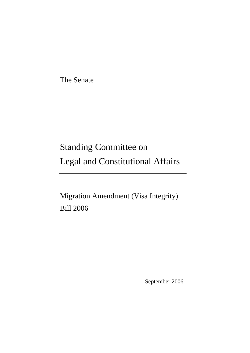The Senate

# Standing Committee on Legal and Constitutional Affairs

Migration Amendment (Visa Integrity) Bill 2006

September 2006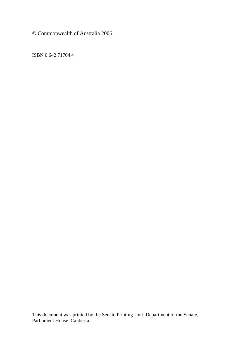© Commonwealth of Australia 2006

ISBN 0 642 71704 4

This document was printed by the Senate Printing Unit, Department of the Senate, Parliament House, Canberra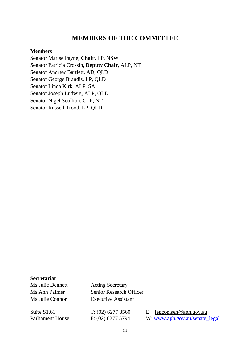#### **MEMBERS OF THE COMMITTEE**

#### **Members**

Senator Marise Payne, **Chair**, LP, NSW Senator Patricia Crossin, **Deputy Chair**, ALP, NT Senator Andrew Bartlett, AD, QLD Senator George Brandis, LP, QLD Senator Linda Kirk, ALP, SA Senator Joseph Ludwig, ALP, QLD Senator Nigel Scullion, CLP, NT Senator Russell Trood, LP, QLD

**Secretariat**  Ms Julie Dennett Acting Secretary

Ms Ann Palmer Senior Research Officer Ms Julie Connor Executive Assistant

Suite S1.61 T: (02) 6277 3560 E: [legcon.sen@aph.gov.au](mailto:fpa.sen@aph.gov.au) Parliament House F: (02) 6277 5794 W: www.aph.gov.au/senate legal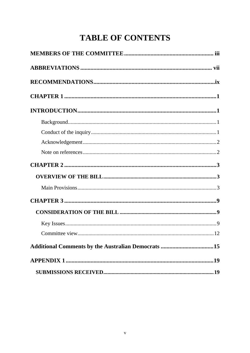## **TABLE OF CONTENTS**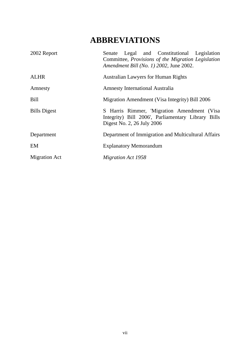## **ABBREVIATIONS**

| 2002 Report          | Senate Legal and Constitutional Legislation<br>Committee, Provisions of the Migration Legislation<br>Amendment Bill (No. 1) 2002, June 2002. |
|----------------------|----------------------------------------------------------------------------------------------------------------------------------------------|
| <b>ALHR</b>          | <b>Australian Lawyers for Human Rights</b>                                                                                                   |
| Amnesty              | <b>Amnesty International Australia</b>                                                                                                       |
| Bill                 | Migration Amendment (Visa Integrity) Bill 2006                                                                                               |
| <b>Bills Digest</b>  | S Harris Rimmer, 'Migration Amendment (Visa<br>Integrity) Bill 2006', Parliamentary Library Bills<br>Digest No. 2, 26 July 2006              |
| Department           | Department of Immigration and Multicultural Affairs                                                                                          |
| EM                   | <b>Explanatory Memorandum</b>                                                                                                                |
| <b>Migration Act</b> | Migration Act 1958                                                                                                                           |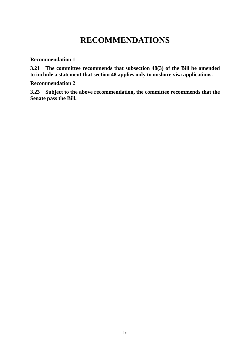## **RECOMMENDATIONS**

**Recommendation 1**

**3.21 The committee recommends that subsection 48(3) of the Bill be amended to include a statement that section 48 applies only to onshore visa applications.**

**Recommendation 2** 

**3.23 Subject to the above recommendation, the committee recommends that the Senate pass the Bill.**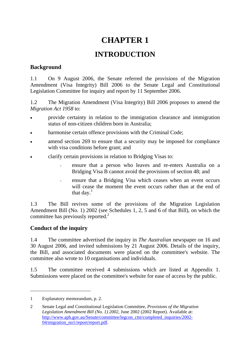## **CHAPTER 1**

### **INTRODUCTION**

#### **Background**

1.1 On 9 August 2006, the Senate referred the provisions of the Migration Amendment (Visa Integrity) Bill 2006 to the Senate Legal and Constitutional Legislation Committee for inquiry and report by 11 September 2006.

1.2 The Migration Amendment (Visa Integrity) Bill 2006 proposes to amend the *Migration Act 1958* to:

- provide certainty in relation to the immigration clearance and immigration status of non-citizen children born in Australia;
- harmonise certain offence provisions with the Criminal Code;
- amend section 269 to ensure that a security may be imposed for compliance with visa conditions before grant; and
- clarify certain provisions in relation to Bridging Visas to:
	- ensure that a person who leaves and re-enters Australia on a Bridging Visa B cannot avoid the provisions of section 48; and
	- ensure that a Bridging Visa which ceases when an event occurs will cease the moment the event occurs rather than at the end of that day. $<sup>1</sup>$ </sup>

1.3 The Bill revives some of the provisions of the Migration Legislation Amendment Bill (No. 1) 2002 (see Schedules 1, 2, 5 and 6 of that Bill), on which the committee has previously reported.<sup>2</sup>

#### **Conduct of the inquiry**

1.4 The committee advertised the inquiry in *The Australian* newspaper on 16 and 30 August 2006, and invited submissions by 21 August 2006. Details of the inquiry, the Bill, and associated documents were placed on the committee's website. The committee also wrote to 10 organisations and individuals.

1.5 The committee received 4 submissions which are listed at Appendix 1. Submissions were placed on the committee's website for ease of access by the public.

<span id="page-10-0"></span><sup>1</sup> Explanatory memorandum, p. 2.

<span id="page-10-1"></span><sup>2</sup> Senate Legal and Constitutional Legislation Committee, *Provisions of the Migration Legislation Amendment Bill (No. 1) 2002*, June 2002 (2002 Report). Available at: [http://www.aph.gov.au/Senate/committee/legcon\\_ctte/completed\\_inquiries/2002-](http://www.aph.gov.au/Senate/committee/legcon_ctte/completed_inquiries/2002-04/migration_no1/report/report.pdf) [04/migration\\_no1/report/report.pdf](http://www.aph.gov.au/Senate/committee/legcon_ctte/completed_inquiries/2002-04/migration_no1/report/report.pdf).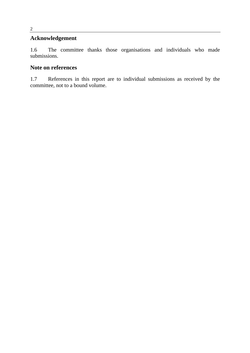#### **Acknowledgement**

1.6 The committee thanks those organisations and individuals who made submissions.

#### **Note on references**

1.7 References in this report are to individual submissions as received by the committee, not to a bound volume.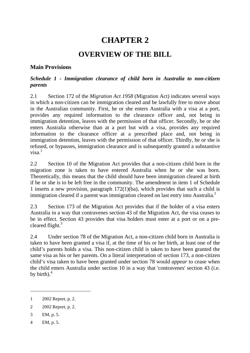### **CHAPTER 2**

### **OVERVIEW OF THE BILL**

#### **Main Provisions**

#### *Schedule 1 - Immigration clearance of child born in Australia to non-citizen parents*

2.1 Section 172 of the *Migration Act 1958* (Migration Act) indicates several ways in which a non-citizen can be immigration cleared and be lawfully free to move about in the Australian community. First, he or she enters Australia with a visa at a port, provides any required information to the clearance officer and, not being in immigration detention, leaves with the permission of that officer. Secondly, he or she enters Australia otherwise than at a port but with a visa, provides any required information to the clearance officer at a prescribed place and, not being in immigration detention, leaves with the permission of that officer. Thirdly, he or she is refused, or bypasses, immigration clearance and is subsequently granted a substantive  $v$ isa $1$ 

2.2 Section 10 of the Migration Act provides that a non-citizen child born in the migration zone is taken to have entered Australia when he or she was born. Theoretically, this means that the child should have been immigration cleared at birth if he or she is to be left free in the community. The amendment in item 1 of Schedule 1 inserts a new provision, paragraph 172(1)(ba), which provides that such a child is immigration cleared if a parent was immigration cleared on last entry into Australia.<sup>[2](#page-12-1)</sup>

2.3 Section 173 of the Migration Act provides that if the holder of a visa enters Australia in a way that contravenes section 43 of the Migration Act, the visa ceases to be in effect. Section 43 provides that visa holders must enter at a port or on a precleared flight.<sup>3</sup>

2.4 Under section 78 of the Migration Act, a non-citizen child born in Australia is taken to have been granted a visa if, at the time of his or her birth, at least one of the child's parents holds a visa. This non-citizen child is taken to have been granted the same visa as his or her parents. On a literal interpretation of section 173, a non-citizen child's visa taken to have been granted under section 78 would *appear* to cease when the child enters Australia under section 10 in a way that 'contravenes' section 43 (i.e. by birth). $4$ 

<span id="page-12-2"></span>3 EM, p. 5.

 $\overline{a}$ 

<span id="page-12-3"></span>4 EM, p. 5.

<span id="page-12-0"></span><sup>1 2002</sup> Report, p. 2.

<span id="page-12-1"></span><sup>2 2002</sup> Report, p. 2.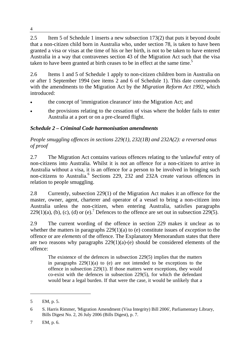2.5 Item 5 of Schedule 1 inserts a new subsection 173(2) that puts it beyond doubt that a non-citizen child born in Australia who, under section 78, is taken to have been granted a visa or visas at the time of his or her birth, is not to be taken to have entered Australia in a way that contravenes section 43 of the Migration Act such that the visa taken to have been granted at birth ceases to be in effect at the same time.<sup>[5](#page-13-0)</sup>

2.6 Items 1 and 5 of Schedule 1 apply to non-citizen children born in Australia on or after 1 September 1994 (see items 2 and 6 of Schedule 1). This date corresponds with the amendments to the Migration Act by the *Migration Reform Act 1992*, which introduced:

- the concept of 'immigration clearance' into the Migration Act; and
- the provisions relating to the cessation of visas where the holder fails to enter Australia at a port or on a pre-cleared flight.

#### *Schedule 2 – Criminal Code harmonisation amendments*

*People smuggling offences in sections 229(1), 232(1B) and 232A(2): a reversed onus of proof* 

2.7 The Migration Act contains various offences relating to the 'unlawful' entry of non-citizens into Australia. Whilst it is not an offence for a non-citizen to arrive in Australia without a visa, it is an offence for a person to be involved in bringing such non-citizensto Australia.<sup>6</sup> Sections 229, 232 and 232A create various offences in relation to people smuggling.

2.8 Currently, subsection 229(1) of the Migration Act makes it an offence for the master, owner, agent, charterer and operator of a vessel to bring a non-citizen into Australia unless the non-citizen, when entering Australia, satisfies paragraphs  $229(1)(a)$ ,(b), (c), (d) or (e).<sup>7</sup> Defences to the offence are set out in subsection  $229(5)$ .

2.9 The current wording of the offence in section 229 makes it unclear as to whether the matters in paragraphs 229(1)(a) to (e) constitute issues of *exception* to the offence or are *elements* of the offence. The Explanatory Memorandum states that there are two reasons why paragraphs  $229(1)(a)-(e)$  should be considered elements of the offence:

The existence of the defences in subsection 229(5) implies that the matters in paragraphs  $229(1)(a)$  to (e) are not intended to be exceptions to the offence in subsection 229(1). If those matters were exceptions, they would co-exist with the defences in subsection 229(5), for which the defendant would bear a legal burden. If that were the case, it would be unlikely that a

 $\overline{a}$ 

<span id="page-13-0"></span><sup>5</sup> EM, p. 5.

<span id="page-13-1"></span><sup>6</sup> S. Harris Rimmer, 'Migration Amendment (Visa Integrity) Bill 2006', Parliamentary Library, Bills Digest No. 2, 26 July 2006 (Bills Digest), p. 7.

<span id="page-13-2"></span><sup>7</sup> EM, p. 6.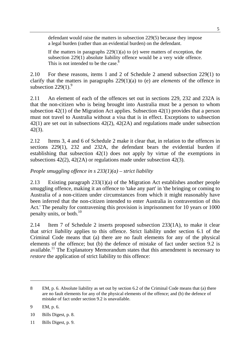defendant would raise the matters in subsection 229(5) because they impose a legal burden (rather than an evidential burden) on the defendant.

If the matters in paragraphs  $229(1)(a)$  to (e) were matters of exception, the subsection 229(1) absolute liability offence would be a very wide offence. This is not intended to be the case. $8$ 

2.10 For these reasons, items 1 and 2 of Schedule 2 amend subsection 229(1) to clarify that the matters in paragraphs 229(1)(a) to (e) are *elements* of the offence in subsection  $229(1)$ .<sup>9</sup>

2.11 An element of each of the offences set out in sections 229, 232 and 232A is that the non-citizen who is being brought into Australia must be a person to whom subsection 42(1) of the Migration Act applies. Subsection 42(1) provides that a person must not travel to Australia without a visa that is in effect. Exceptions to subsection 42(1) are set out in subsections 42(2), 42(2A) and regulations made under subsection 42(3).

2.12 Items 3, 4 and 6 of Schedule 2 make it clear that, in relation to the offences in sections 229(1), 232 and 232A, the defendant bears the evidential burden if establishing that subsection 42(1) does not apply by virtue of the exemptions in subsections 42(2), 42(2A) or regulations made under subsection 42(3).

*People smuggling offence in s 233(1)(a) – strict liability* 

2.13 Existing paragraph 233(1)(a) of the Migration Act establishes another people smuggling offence, making it an offence to 'take any part' in 'the bringing or coming to Australia of a non-citizen under circumstances from which it might reasonably have been inferred that the non-citizen intended to enter Australia in contravention of this Act.' The penalty for contravening this provision is imprisonment for 10 years or 1000 penalty units, or both. $^{10}$  $^{10}$  $^{10}$ 

2.14 Item 7 of Schedule 2 inserts proposed subsection 233(1A), to make it clear that *strict liability* applies to this offence. Strict liability under section 6.1 of the Criminal Code means that (a) there are no fault elements for any of the physical elements of the offence; but (b) the defence of mistake of fact under section 9.2 is available.<sup>11</sup> The Explanatory Memorandum states that this amendment is necessary to *restore* the application of strict liability to this offence:

<span id="page-14-0"></span><sup>8</sup> EM, p. 6. Absolute liability as set out by section 6.2 of the Criminal Code means that (a) there are no fault elements for any of the physical elements of the offence; and (b) the defence of mistake of fact under section 9.2 is unavailable.

<span id="page-14-1"></span><sup>9</sup> EM, p. 6.

<span id="page-14-2"></span><sup>10</sup> Bills Digest, p. 8.

<span id="page-14-3"></span><sup>11</sup> Bills Digest, p. 9.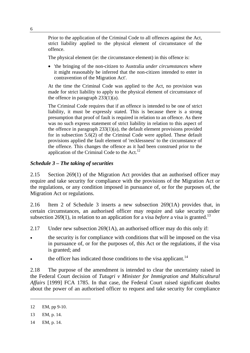Prior to the application of the Criminal Code to all offences against the Act, strict liability applied to the physical element of circumstance of the offence.

The physical element (ie: the circumstance element) in this offence is:

• 'the bringing of the non-citizen to Australia *under circumstances* where it might reasonably be inferred that the non-citizen intended to enter in contravention of the Migration Act'.

At the time the Criminal Code was applied to the Act, no provision was made for strict liability to apply to the physical element of circumstance of the offence in paragraph  $233(1)(a)$ .

The Criminal Code requires that if an offence is intended to be one of strict liability, it must be expressly stated. This is because there is a strong presumption that proof of fault is required in relation to an offence. As there was no such express statement of strict liability in relation to this aspect of the offence in paragraph  $233(1)(a)$ , the default element provisions provided for in subsection 5.6(2) of the Criminal Code were applied. These default provisions applied the fault element of 'recklessness' to the circumstance of the offence. This changes the offence as it had been construed prior to the application of the Criminal Code to the Act.<sup>[12](#page-15-0)</sup>

#### *Schedule 3 – The taking of securities*

2.15 Section 269(1) of the Migration Act provides that an authorised officer may require and take security for compliance with the provisions of the Migration Act or the regulations, or any condition imposed in pursuance of, or for the purposes of, the Migration Act or regulations.

2.16 Item 2 of Schedule 3 inserts a new subsection 269(1A) provides that, in certain circumstances, an authorised officer may require and take security under subsection 269(1), in relation to an application for a visa *before* a visa is granted.<sup>[13](#page-15-1)</sup>

- 2.17 Under new subsection 269(1A), an authorised officer may do this only if:
- the security is for compliance with conditions that will be imposed on the visa in pursuance of, or for the purposes of, this Act or the regulations, if the visa is granted; and
- the officer has indicated those conditions to the visa applicant.<sup>[14](#page-15-2)</sup>

2.18 The purpose of the amendment is intended to clear the uncertainty raised in the Federal Court decision of *Tutugri v Minister for Immigration and Multicultural Affairs* [1999] FCA 1785. In that case, the Federal Court raised significant doubts about the power of an authorised officer to request and take security for compliance

<span id="page-15-0"></span><sup>12</sup> EM, pp 9-10.

<span id="page-15-1"></span><sup>13</sup> EM, p. 14.

<span id="page-15-2"></span><sup>14</sup> EM, p. 14.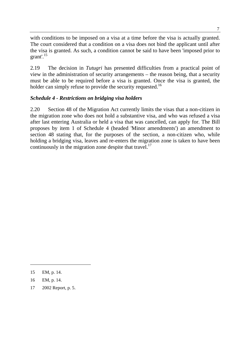with conditions to be imposed on a visa at a time before the visa is actually granted. The court considered that a condition on a visa does not bind the applicant until after the visa is granted. As such, a condition cannot be said to have been 'imposed prior to grant'. [15](#page-16-0)

2.19 The decision in *Tutugri* has presented difficulties from a practical point of view in the administration of security arrangements – the reason being, that a security must be able to be required before a visa is granted. Once the visa is granted, the holder can simply refuse to provide the security requested.<sup>[16](#page-16-1)</sup>

#### *Schedule 4 - Restrictions on bridging visa holders*

2.20 Section 48 of the Migration Act currently limits the visas that a non-citizen in the migration zone who does not hold a substantive visa, and who was refused a visa after last entering Australia or held a visa that was cancelled, can apply for. The Bill proposes by item 1 of Schedule 4 (headed 'Minor amendments') an amendment to section 48 stating that, for the purposes of the section, a non-citizen who, while holding a bridging visa, leaves and re-enters the migration zone is taken to have been continuously in the migration zone despite that travel.<sup>[17](#page-16-2)</sup>

 $\overline{a}$ 

<span id="page-16-2"></span>17 2002 Report, p. 5.

<span id="page-16-0"></span><sup>15</sup> EM, p. 14.

<span id="page-16-1"></span><sup>16</sup> EM, p. 14.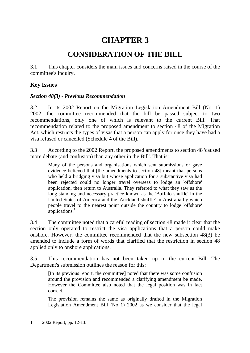### **CHAPTER 3**

### **CONSIDERATION OF THE BILL**

3.1 This chapter considers the main issues and concerns raised in the course of the committee's inquiry.

#### **Key Issues**

#### *Section 48(3) - Previous Recommendation*

3.2 In its 2002 Report on the Migration Legislation Amendment Bill (No. 1) 2002, the committee recommended that the bill be passed subject to two recommendations, only one of which is relevant to the current Bill. That recommendation related to the proposed amendment to section 48 of the Migration Act, which restricts the types of visas that a person can apply for once they have had a visa refused or cancelled (Schedule 4 of the Bill).

3.3 According to the 2002 Report, the proposed amendments to section 48 'caused more debate (and confusion) than any other in the Bill'. That is:

Many of the persons and organisations which sent submissions or gave evidence believed that [the amendments to section 48] meant that persons who held a bridging visa but whose application for a substantive visa had been rejected could no longer travel overseas to lodge an 'offshore' application, then return to Australia. They referred to what they saw as the long-standing and necessary practice known as the 'Buffalo shuffle' in the United States of America and the 'Auckland shuffle' in Australia by which people travel to the nearest point outside the country to lodge 'offshore' applications.<sup>[1](#page-18-0)</sup>

3.4 The committee noted that a careful reading of section 48 made it clear that the section only operated to restrict the visa applications that a person could make onshore. However, the committee recommended that the new subsection 48(3) be amended to include a form of words that clarified that the restriction in section 48 applied only to onshore applications.

3.5 This recommendation has not been taken up in the current Bill. The Department's submission outlines the reason for this:

[In its previous report, the committee] noted that there was some confusion around the provision and recommended a clarifying amendment be made. However the Committee also noted that the legal position was in fact correct.

The provision remains the same as originally drafted in the Migration Legislation Amendment Bill (No 1) 2002 as we consider that the legal

<span id="page-18-0"></span><sup>1 2002</sup> Report, pp. 12-13.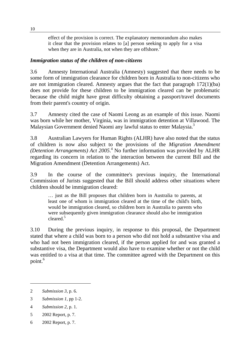effect of the provision is correct. The explanatory memorandum also makes it clear that the provision relates to [a] person seeking to apply for a visa when they are in Australia, not when they are offshore.<sup>[2](#page-19-0)</sup>

#### *Immigration status of the children of non-citizens*

3.6 Amnesty International Australia (Amnesty) suggested that there needs to be some form of immigration clearance for children born in Australia to non-citizens who are not immigration cleared. Amnesty argues that the fact that paragraph 172(1)(ba) does not provide for these children to be immigration cleared can be problematic because the child might have great difficulty obtaining a passport/travel documents from their parent's country of origin.

3.7 Amnesty cited the case of Naomi Leong as an example of this issue. Naomi was born while her mother, Virginia, was in immigration detention at Villawood. The Malaysian Government denied Naomi any lawful status to enter Malaysia.<sup>[3](#page-19-1)</sup>

3.8 Australian Lawyers for Human Rights (ALHR) have also noted that the status of children is now also subject to the provisions of the *Migration Amendment* (*DetentionArrangements*) Act 2005.<sup>4</sup> No further information was provided by ALHR regarding its concern in relation to the interaction between the current Bill and the Migration Amendment (Detention Arrangements) Act.

3.9 In the course of the committee's previous inquiry, the International Commission of Jurists suggested that the Bill should address other situations where children should be immigration cleared:

… just as the Bill proposes that children born in Australia to parents, at least one of whom is immigration cleared at the time of the child's birth, would be immigration cleared, so children born in Australia to parents who were subsequently given immigration clearance should also be immigration cleared[.5](#page-19-3)

3.10 During the previous inquiry, in response to this proposal, the Department stated that where a child was born to a person who did not hold a substantive visa and who had not been immigration cleared, if the person applied for and was granted a substantive visa, the Department would also have to examine whether or not the child was entitled to a visa at that time. The committee agreed with the Department on this point[.6](#page-19-4)

- <span id="page-19-2"></span>4 *Submission 2*, p. 1.
- <span id="page-19-3"></span>5 2002 Report, p. 7.
- <span id="page-19-4"></span>6 2002 Report, p. 7.

<span id="page-19-0"></span><sup>2</sup> *Submission 3*, p. 6.

<span id="page-19-1"></span><sup>3</sup> *Submission 1*, pp 1-2.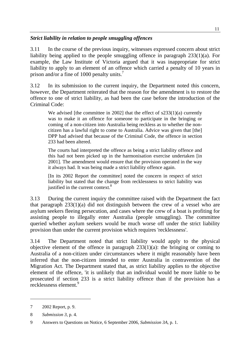#### *Strict liability in relation to people smuggling offences*

3.11 In the course of the previous inquiry, witnesses expressed concern about strict liability being applied to the people smuggling offence in paragraph 233(1)(a). For example, the Law Institute of Victoria argued that it was inappropriate for strict liability to apply to an element of an offence which carried a penalty of 10 years in prison and/or a fine of 1000 penalty units.<sup>7</sup>

3.12 In its submission to the current inquiry, the Department noted this concern, however, the Department reiterated that the reason for the amendment is to restore the offence to one of strict liability, as had been the case before the introduction of the Criminal Code:

We advised [the committee in 2002] that the effect of  $s233(1)(a)$  currently was to make it an offence for someone to participate in the bringing or coming of a non-citizen into Australia being reckless as to whether the noncitizen has a lawful right to come to Australia. Advice was given that [the] DPP had advised that because of the Criminal Code, the offence in section 233 had been altered.

The courts had interpreted the offence as being a strict liability offence and this had not been picked up in the harmonisation exercise undertaken [in 2001]. The amendment would ensure that the provision operated in the way it always had. It was being made a strict liability offence again.

[In its 2002 Report the committee] noted the concern in respect of strict liability but stated that the change from recklessness to strict liability was justified in the current context.<sup>[8](#page-20-1)</sup>

3.13 During the current inquiry the committee raised with the Department the fact that paragraph 233(1)(a) did not distinguish between the crew of a vessel who are asylum seekers fleeing persecution, and cases where the crew of a boat is profiting for assisting people to illegally enter Australia (people smuggling). The committee queried whether asylum seekers would be much worse off under the strict liability provision than under the current provision which requires 'recklessness'.

3.14 The Department noted that strict liability would apply to the physical objective element of the offence in paragraph  $233(1)(a)$ : the bringing or coming to Australia of a non-citizen under circumstances where it might reasonably have been inferred that the non-citizen intended to enter Australia in contravention of the Migration Act. The Department stated that, as strict liability applies to the objective element of the offence, 'it is unlikely that an individual would be more liable to be prosecuted if section 233 is a strict liability offence than if the provision has a  $recklessness element<sup>9</sup>$  $recklessness element<sup>9</sup>$  $recklessness element<sup>9</sup>$ 

<span id="page-20-0"></span><sup>7 2002</sup> Report, p. 9.

<span id="page-20-1"></span><sup>8</sup> *Submission 3*, p. 4.

<span id="page-20-2"></span><sup>9</sup> Answers to Questions on Notice, 6 September 2006, *Submission 3A*, p. 1.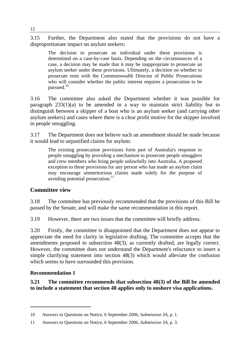3.15 Further, the Department also stated that the provisions do not have a disproportionate impact on asylum seekers:

The decision to prosecute an individual under these provisions is determined on a case-by-case basis. Depending on the circumstances of a case, a decision may be made that it may be inappropriate to prosecute an asylum seeker under these provisions. Ultimately, a decision on whether to prosecute rests with the Commonwealth Director of Public Prosecutions who will consider whether the public interest requires a prosecution to be pursued.<sup>[10](#page-21-0)</sup>

3.16 The committee also asked the Department whether it was possible for paragraph 233(1)(a) to be amended in a way to maintain strict liability but to distinguish between a skipper of a boat who is an asylum seeker (and carrying other asylum seekers) and cases where there is a clear profit motive for the skipper involved in people smuggling.

3.17 The Department does not believe such an amendment should be made because it would lead to unjustified claims for asylum:

The existing prosecution provisions form part of Australia's response to people smuggling by providing a mechanism to prosecute people smugglers and crew members who bring people unlawfully into Australia. A proposed exception to these provisions for any person who has made an asylum claim may encourage unmeritorious claims made solely for the purpose of avoiding potential prosecution.<sup>[11](#page-21-1)</sup>

#### **Committee view**

3.18 The committee has previously recommended that the provisions of this Bill be passed by the Senate, and will make the same recommendation in this report.

3.19 However, there are two issues that the committee will briefly address.

3.20 Firstly, the committee is disappointed that the Department does not appear to appreciate the need for clarity in legislative drafting. The committee accepts that the amendments proposed to subsection 48(3), as currently drafted, are legally correct. However, the committee does not understand the Department's reluctance to insert a simple clarifying statement into section 48(3) which would alleviate the confusion which seems to have surrounded this provision.

#### **Recommendation 1**

**3.21 The committee recommends that subsection 48(3) of the Bill be amended to include a statement that section 48 applies only to onshore visa applications.** 

<span id="page-21-0"></span><sup>10</sup> Answers to Questions on Notice, 6 September 2006, *Submission 3A*, p. 1.

<span id="page-21-1"></span><sup>11</sup> Answers to Questions on Notice, 6 September 2006, *Submission 3A*, p. 3.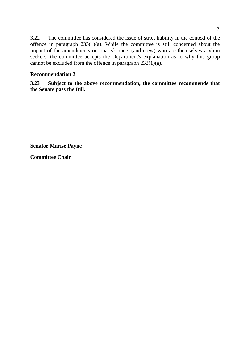3.22 The committee has considered the issue of strict liability in the context of the offence in paragraph  $233(1)(a)$ . While the committee is still concerned about the impact of the amendments on boat skippers (and crew) who are themselves asylum seekers, the committee accepts the Department's explanation as to why this group cannot be excluded from the offence in paragraph  $233(1)(a)$ .

#### **Recommendation 2**

**3.23 Subject to the above recommendation, the committee recommends that the Senate pass the Bill.** 

**Senator Marise Payne** 

**Committee Chair**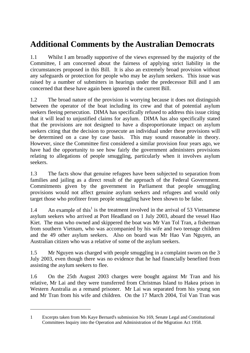## **Additional Comments by the Australian Democrats**

1.1 Whilst I am broadly supportive of the views expressed by the majority of the Committee, I am concerned about the fairness of applying strict liability in the circumstances proposed in this Bill. It is also an extremely broad provision without any safeguards or protection for people who may be asylum seekers. This issue was raised by a number of submitters in hearings under the predecessor Bill and I am concerned that these have again been ignored in the current Bill.

1.2 The broad nature of the provision is worrying because it does not distinguish between the operator of the boat including its crew and that of potential asylum seekers fleeing persecution. DIMA has specifically refused to address this issue citing that it will lead to unjustified claims for asylum. DIMA has also specifically stated that the provisions are not designed to have a disproportionate impact on asylum seekers citing that the decision to prosecute an individual under these provisions will be determined on a case by case basis. This may sound reasonable in theory. However, since the Committee first considered a similar provision four years ago, we have had the opportunity to see how fairly the government administers provisions relating to allegations of people smuggling, particularly when it involves asylum seekers.

1.3 The facts show that genuine refugees have been subjected to separation from families and jailing as a direct result of the approach of the Federal Government. Commitments given by the government in Parliament that people smuggling provisions would not affect genuine asylum seekers and refugees and would only target those who profiteer from people smuggling have been shown to be false.

1.4 An example of this<sup>1</sup> is the treatment involved in the arrival of 53 Vietnamese asylum seekers who arrived at Port Headland on 1 July 2003, aboard the vessel Hao Kiet. The man who owned and skippered the boat was Mr Van Tol Tran, a fisherman from southern Vietnam, who was accompanied by his wife and two teenage children and the 49 other asylum seekers. Also on board was Mr Hao Van Nguyen, an Australian citizen who was a relative of some of the asylum seekers.

1.5 Mr Nguyen was charged with people smuggling in a complaint sworn on the 3 July 2003, even though there was no evidence that he had financially benefited from assisting the asylum seekers to flee.

1.6 On the 25th August 2003 charges were bought against Mr Tran and his relative, Mr Lai and they were transferred from Christmas Island to Hakea prison in Western Australia as a remand prisoner. Mr Lai was separated from his young son and Mr Tran from his wife and children. On the 17 March 2004, Tol Van Tran was

<span id="page-24-0"></span><sup>1</sup> Excerpts taken from Ms Kaye Bernard's submission No 169, Senate Legal and Constitutional Committees Inquiry into the Operation and Administration of the Migration Act 1958.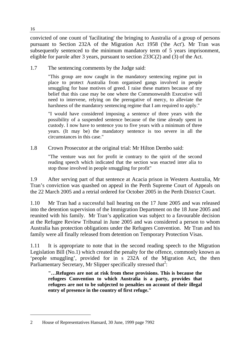convicted of one count of 'facilitating' the bringing to Australia of a group of persons pursuant to Section 232A of the Migration Act 1958 ('the Act'). Mr Tran was subsequently sentenced to the minimum mandatory term of 5 years imprisonment, eligible for parole after 3 years, pursuant to section  $233C(2)$  and (3) of the Act.

1.7 The sentencing comments by the Judge said:

"This group are now caught in the mandatory sentencing regime put in place to protect Australia from organised gangs involved in people smuggling for base motives of greed. I raise these matters because of my belief that this case may be one where the Commonwealth Executive will need to intervene, relying on the prerogative of mercy, to alleviate the harshness of the mandatory sentencing regime that I am required to apply."

"I would have considered imposing a sentence of three years with the possibility of a suspended sentence because of the time already spent in custody. I now have to sentence you to five years with a minimum of three years. (It may be) the mandatory sentence is too severe in all the circumstances in this case."

1.8 Crown Prosecutor at the original trial: Mr Hilton Dembo said:

"The venture was not for profit ie contrary to the spirit of the second reading speech which indicated that the section was enacted inter alia to stop those involved in people smuggling for profit"

1.9 After serving part of that sentence at Acacia prison in Western Australia, Mr Tran's conviction was quashed on appeal in the Perth Supreme Court of Appeals on the 22 March 2005 and a retrial ordered for October 2005 in the Perth District Court.

1.10 Mr Tran had a successful bail hearing on the 17 June 2005 and was released into the detention supervision of the Immigration Department on the 18 June 2005 and reunited with his family. Mr Tran's application was subject to a favourable decision at the Refugee Review Tribunal in June 2005 and was considered a person to whom Australia has protection obligations under the Refugees Convention. Mr Tran and his family were all finally released from detention on Temporary Protection Visas.

1.11 It is appropriate to note that in the second reading speech to the Migration Legislation Bill (No.1) which created the penalty for the offence, commonly known as 'people smuggling', provided for in s 232A of the Migration Act, the then Parliamentary Secretary, Mr Slipper specifically stressed that<sup>[2](#page-25-0)</sup>:

**"…Refugees are not at risk from these provisions. This is because the refugees Convention to which Australia is a party, provides that refugees are not to be subjected to penalties on account of their illegal entry of presence in the country of first refuge."**

<span id="page-25-0"></span><sup>2</sup> House of Representatives Hansard, 30 June, 1999 page 7992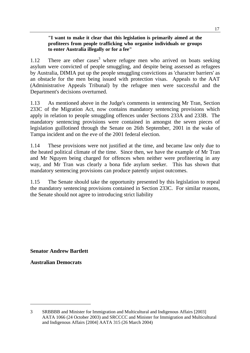#### **"I want to make it clear that this legislation is primarily aimed at the profiteers from people trafficking who organise individuals or groups to enter Australia illegally or for a fee"**

1.12 There are other cases<sup>3</sup> where refugee men who arrived on boats seeking asylum were convicted of people smuggling, and despite being assessed as refugees by Australia, DIMIA put up the people smuggling convictions as 'character barriers' as an obstacle for the men being issued with protection visas. Appeals to the AAT (Administrative Appeals Tribunal) by the refugee men were successful and the Department's decisions overturned.

1.13 As mentioned above in the Judge's comments in sentencing Mr Tran, Section 233C of the Migration Act, now contains mandatory sentencing provisions which apply in relation to people smuggling offences under Sections 233A and 233B. The mandatory sentencing provisions were contained in amongst the seven pieces of legislation guillotined through the Senate on 26th September, 2001 in the wake of Tampa incident and on the eve of the 2001 federal election.

1.14 These provisions were not justified at the time, and became law only due to the heated political climate of the time. Since then, we have the example of Mr Tran and Mr Nguyen being charged for offences when neither were profiteering in any way, and Mr Tran was clearly a bona fide asylum seeker. This has shown that mandatory sentencing provisions can produce patently unjust outcomes.

1.15 The Senate should take the opportunity presented by this legislation to repeal the mandatory sentencing provisions contained in Section 233C. For similar reasons, the Senate should not agree to introducing strict liability

**Senator Andrew Bartlett** 

**Australian Democrats** 

<span id="page-26-0"></span><sup>3</sup> SRBBBB and Minister for Immigration and Multicultural and Indigenous Affairs [2003] AATA 1066 (24 October 2003) and SRCCCC and Minister for Immigration and Multicultural and Indigenous Affairs [2004] AATA 315 (26 March 2004)